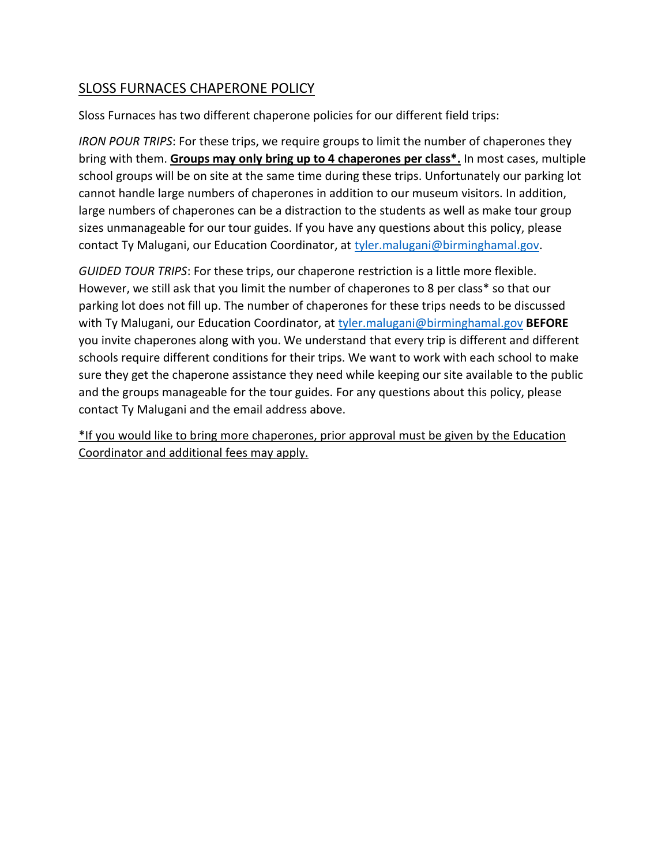## SLOSS FURNACES CHAPERONE POLICY

Sloss Furnaces has two different chaperone policies for our different field trips:

*IRON POUR TRIPS*: For these trips, we require groups to limit the number of chaperones they bring with them. **Groups may only bring up to 4 chaperones per class\*.** In most cases, multiple school groups will be on site at the same time during these trips. Unfortunately our parking lot cannot handle large numbers of chaperones in addition to our museum visitors. In addition, large numbers of chaperones can be a distraction to the students as well as make tour group sizes unmanageable for our tour guides. If you have any questions about this policy, please contact Ty Malugani, our Education Coordinator, at [tyler.malugani@birminghamal.gov.](mailto:tyler.malugani@birminghamal.gov)

*GUIDED TOUR TRIPS*: For these trips, our chaperone restriction is a little more flexible. However, we still ask that you limit the number of chaperones to 8 per class\* so that our parking lot does not fill up. The number of chaperones for these trips needs to be discussed with Ty Malugani, our Education Coordinator, at [tyler.malugani@birminghamal.gov](mailto:tyler.malugani@birminghamal.gov) **BEFORE** you invite chaperones along with you. We understand that every trip is different and different schools require different conditions for their trips. We want to work with each school to make sure they get the chaperone assistance they need while keeping our site available to the public and the groups manageable for the tour guides. For any questions about this policy, please contact Ty Malugani and the email address above.

\*If you would like to bring more chaperones, prior approval must be given by the Education Coordinator and additional fees may apply.